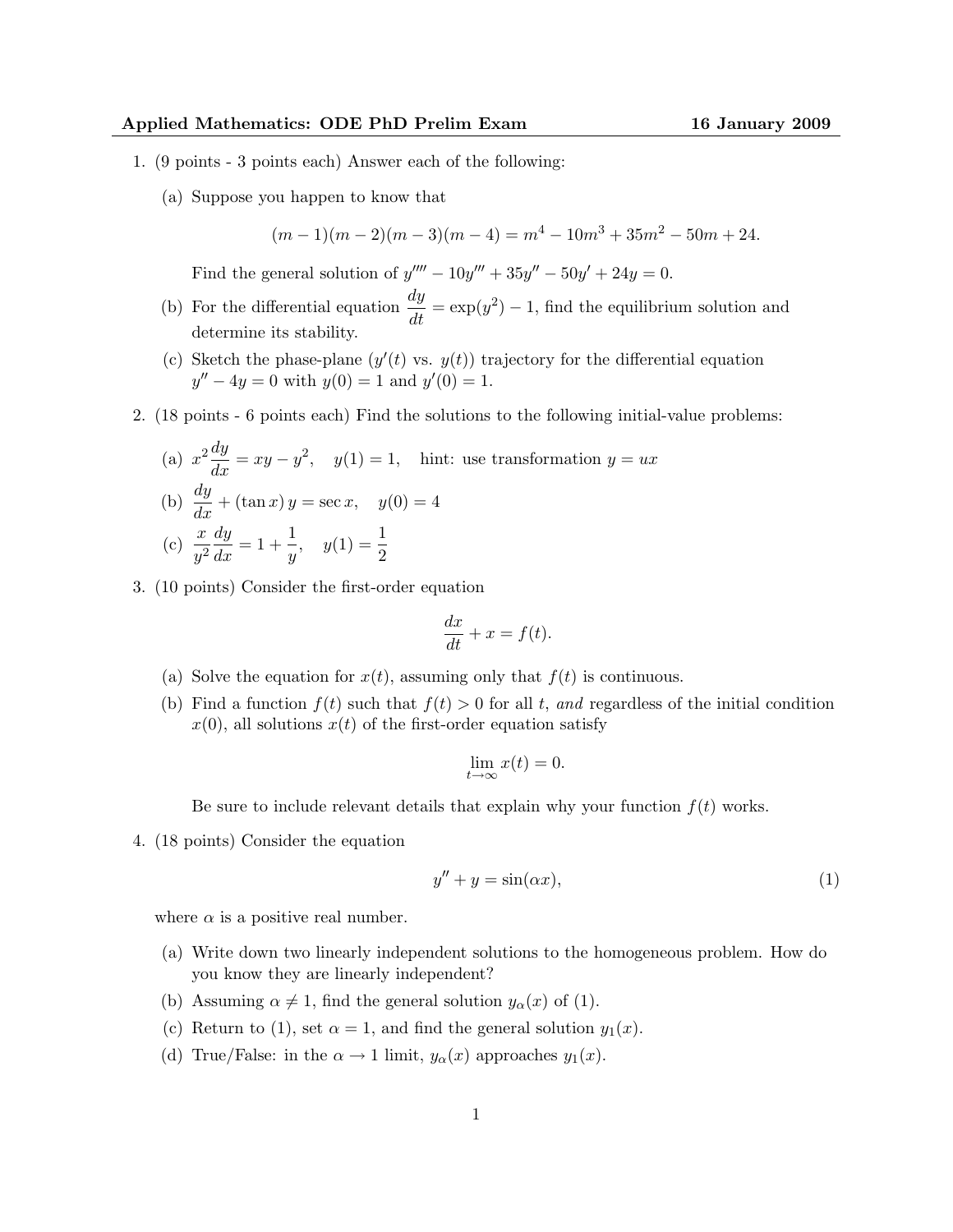- 1. (9 points 3 points each) Answer each of the following:
	- (a) Suppose you happen to know that

$$
(m-1)(m-2)(m-3)(m-4) = m4 - 10m3 + 35m2 - 50m + 24.
$$

Find the general solution of  $y'''' - 10y''' + 35y'' - 50y' + 24y = 0$ .

- (b) For the differential equation  $\frac{dy}{dt} = \exp(y^2) 1$ , find the equilibrium solution and determine its stability.
- (c) Sketch the phase-plane  $(y'(t)$  vs.  $y(t)$ ) trajectory for the differential equation  $y'' - 4y = 0$  with  $y(0) = 1$  and  $y'(0) = 1$ .
- 2. (18 points 6 points each) Find the solutions to the following initial-value problems:

(a) 
$$
x^2 \frac{dy}{dx} = xy - y^2
$$
,  $y(1) = 1$ , hint: use transformation  $y = ux$   
\n(b)  $\frac{dy}{dx} + (\tan x) y = \sec x$ ,  $y(0) = 4$   
\n(c)  $\frac{x}{y^2} \frac{dy}{dx} = 1 + \frac{1}{y}$ ,  $y(1) = \frac{1}{2}$ 

3. (10 points) Consider the first-order equation

$$
\frac{dx}{dt} + x = f(t).
$$

- (a) Solve the equation for  $x(t)$ , assuming only that  $f(t)$  is continuous.
- (b) Find a function  $f(t)$  such that  $f(t) > 0$  for all t, and regardless of the initial condition  $x(0)$ , all solutions  $x(t)$  of the first-order equation satisfy

$$
\lim_{t \to \infty} x(t) = 0.
$$

Be sure to include relevant details that explain why your function  $f(t)$  works.

4. (18 points) Consider the equation

$$
y'' + y = \sin(\alpha x),\tag{1}
$$

where  $\alpha$  is a positive real number.

- (a) Write down two linearly independent solutions to the homogeneous problem. How do you know they are linearly independent?
- (b) Assuming  $\alpha \neq 1$ , find the general solution  $y_{\alpha}(x)$  of (1).
- (c) Return to (1), set  $\alpha = 1$ , and find the general solution  $y_1(x)$ .
- (d) True/False: in the  $\alpha \to 1$  limit,  $y_{\alpha}(x)$  approaches  $y_1(x)$ .